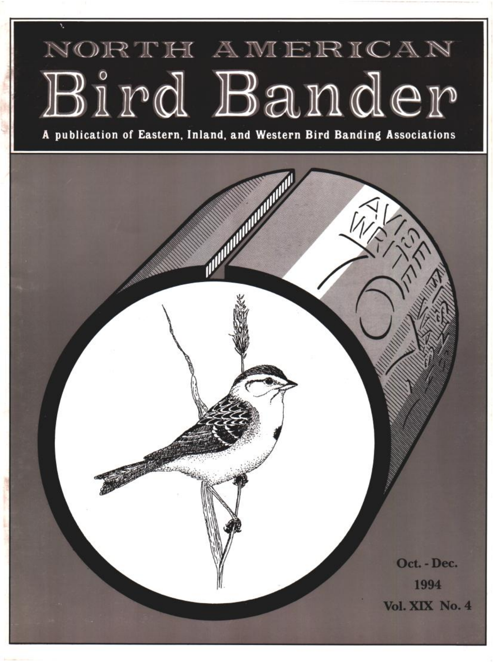# NORTH AMERICAN Bird Bander

**A publication of Eastern, Inland, and Western Bird Banding Associations**